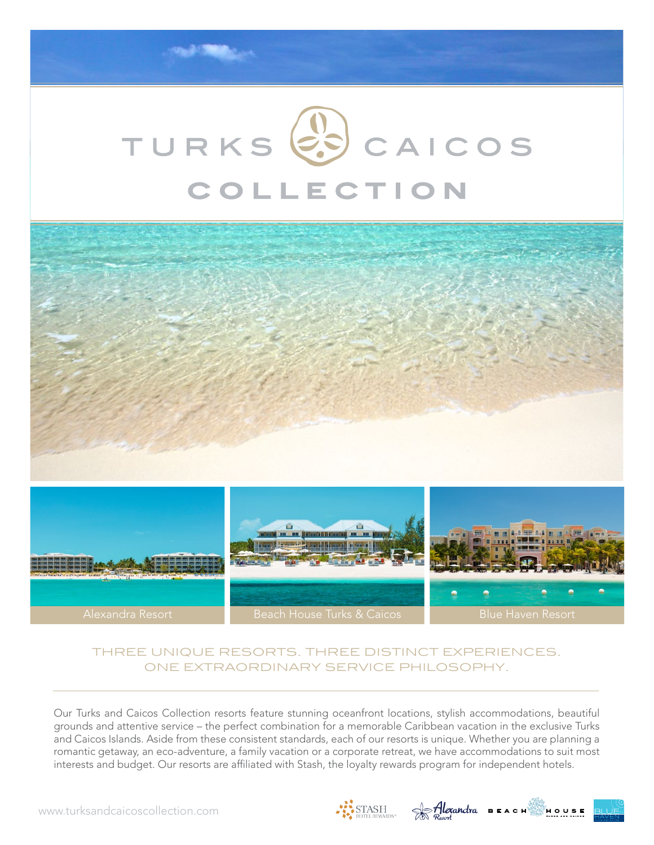# TURKS<sup>(2</sup>5) CAICOS COLLECTION



Alexandra Resort **Beach House Turks & Caicos** Blue Haven Resort

### three unique resorts. three distinct experiences. one extraordinary service philosophy.

Our Turks and Caicos Collection resorts feature stunning oceanfront locations, stylish accommodations, beautiful grounds and attentive service – the perfect combination for a memorable Caribbean vacation in the exclusive Turks and Caicos Islands. Aside from these consistent standards, each of our resorts is unique. Whether you are planning a romantic getaway, an eco-adventure, a family vacation or a corporate retreat, we have accommodations to suit most interests and budget. Our resorts are affiliated with Stash, the loyalty rewards program for independent hotels.